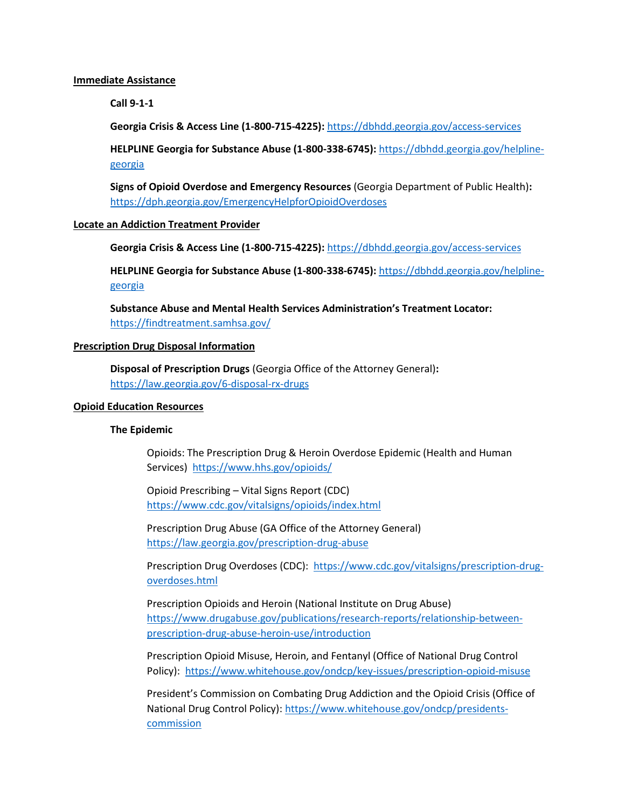#### **Immediate Assistance**

**Call 9-1-1**

**Georgia Crisis & Access Line (1-800-715-4225):** <https://dbhdd.georgia.gov/access-services>

**HELPLINE Georgia for Substance Abuse (1-800-338-6745):** [https://dbhdd.georgia.gov/helpline](https://dbhdd.georgia.gov/helpline-georgia)[georgia](https://dbhdd.georgia.gov/helpline-georgia)

**Signs of Opioid Overdose and Emergency Resources** (Georgia Department of Public Health)**:**  <https://dph.georgia.gov/EmergencyHelpforOpioidOverdoses>

### **Locate an Addiction Treatment Provider**

**Georgia Crisis & Access Line (1-800-715-4225):** <https://dbhdd.georgia.gov/access-services>

**HELPLINE Georgia for Substance Abuse (1-800-338-6745):** [https://dbhdd.georgia.gov/helpline](https://dbhdd.georgia.gov/helpline-georgia)[georgia](https://dbhdd.georgia.gov/helpline-georgia)

**Substance Abuse and Mental Health Services Administration's Treatment Locator:**  <https://findtreatment.samhsa.gov/>

# **Prescription Drug Disposal Information**

**Disposal of Prescription Drugs** (Georgia Office of the Attorney General)**:**  <https://law.georgia.gov/6-disposal-rx-drugs>

# **Opioid Education Resources**

### **The Epidemic**

Opioids: The Prescription Drug & Heroin Overdose Epidemic (Health and Human Services)<https://www.hhs.gov/opioids/>

Opioid Prescribing – Vital Signs Report (CDC) <https://www.cdc.gov/vitalsigns/opioids/index.html>

Prescription Drug Abuse (GA Office of the Attorney General) <https://law.georgia.gov/prescription-drug-abuse>

Prescription Drug Overdoses (CDC): [https://www.cdc.gov/vitalsigns/prescription-drug](https://www.cdc.gov/vitalsigns/prescription-drug-overdoses.html)[overdoses.html](https://www.cdc.gov/vitalsigns/prescription-drug-overdoses.html)

Prescription Opioids and Heroin (National Institute on Drug Abuse) [https://www.drugabuse.gov/publications/research-reports/relationship-between](https://www.drugabuse.gov/publications/research-reports/relationship-between-prescription-drug-abuse-heroin-use/introduction)[prescription-drug-abuse-heroin-use/introduction](https://www.drugabuse.gov/publications/research-reports/relationship-between-prescription-drug-abuse-heroin-use/introduction)

Prescription Opioid Misuse, Heroin, and Fentanyl (Office of National Drug Control Policy):<https://www.whitehouse.gov/ondcp/key-issues/prescription-opioid-misuse>

President's Commission on Combating Drug Addiction and the Opioid Crisis (Office of National Drug Control Policy): [https://www.whitehouse.gov/ondcp/presidents](https://www.whitehouse.gov/ondcp/presidents-commission)**[commission](https://www.whitehouse.gov/ondcp/presidents-commission)**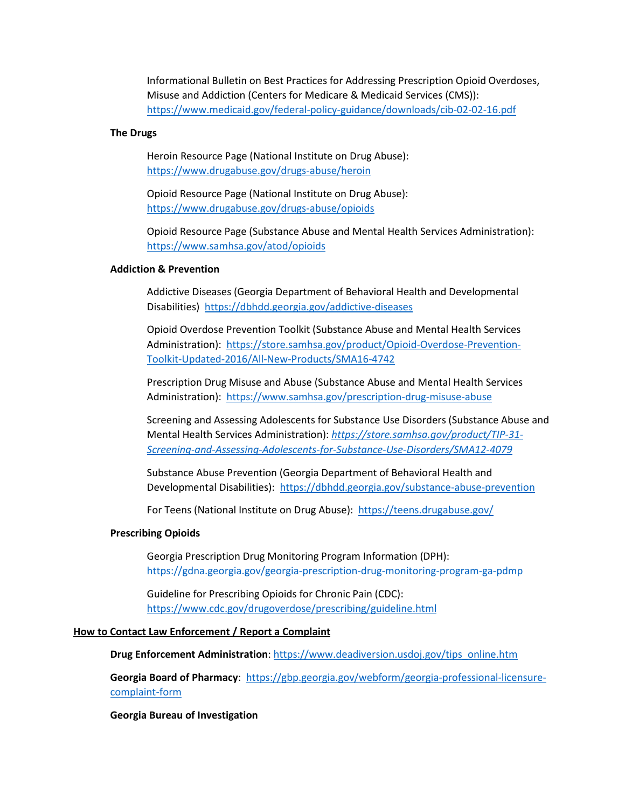Informational Bulletin on Best Practices for Addressing Prescription Opioid Overdoses, Misuse and Addiction (Centers for Medicare & Medicaid Services (CMS)): <https://www.medicaid.gov/federal-policy-guidance/downloads/cib-02-02-16.pdf>

#### **The Drugs**

Heroin Resource Page (National Institute on Drug Abuse): <https://www.drugabuse.gov/drugs-abuse/heroin>

Opioid Resource Page (National Institute on Drug Abuse): <https://www.drugabuse.gov/drugs-abuse/opioids>

Opioid Resource Page (Substance Abuse and Mental Health Services Administration): <https://www.samhsa.gov/atod/opioids>

# **Addiction & Prevention**

Addictive Diseases (Georgia Department of Behavioral Health and Developmental Disabilities)<https://dbhdd.georgia.gov/addictive-diseases>

Opioid Overdose Prevention Toolkit (Substance Abuse and Mental Health Services Administration): [https://store.samhsa.gov/product/Opioid-Overdose-Prevention-](https://store.samhsa.gov/product/Opioid-Overdose-Prevention-Toolkit-Updated-2016/All-New-Products/SMA16-4742)[Toolkit-Updated-2016/All-New-Products/SMA16-4742](https://store.samhsa.gov/product/Opioid-Overdose-Prevention-Toolkit-Updated-2016/All-New-Products/SMA16-4742)

Prescription Drug Misuse and Abuse (Substance Abuse and Mental Health Services Administration): <https://www.samhsa.gov/prescription-drug-misuse-abuse>

Screening and Assessing Adolescents for Substance Use Disorders (Substance Abuse and Mental Health Services Administration): *[https://store.samhsa.gov/product/TIP-31-](https://store.samhsa.gov/product/TIP-31-Screening-and-Assessing-Adolescents-for-Substance-Use-Disorders/SMA12-4079) [Screening-and-Assessing-Adolescents-for-Substance-Use-Disorders/SMA12-4079](https://store.samhsa.gov/product/TIP-31-Screening-and-Assessing-Adolescents-for-Substance-Use-Disorders/SMA12-4079)*

Substance Abuse Prevention (Georgia Department of Behavioral Health and Developmental Disabilities): <https://dbhdd.georgia.gov/substance-abuse-prevention>

For Teens (National Institute on Drug Abuse): <https://teens.drugabuse.gov/>

### **Prescribing Opioids**

Georgia Prescription Drug Monitoring Program Information (DPH): https://gdna.georgia.gov/georgia-prescription-drug-monitoring-program-ga-pdmp

Guideline for Prescribing Opioids for Chronic Pain (CDC): <https://www.cdc.gov/drugoverdose/prescribing/guideline.html>

# **How to Contact Law Enforcement / Report a Complaint**

**Drug Enforcement Administration**: [https://www.deadiversion.usdoj.gov/tips\\_online.htm](https://www.deadiversion.usdoj.gov/tips_online.htm)

**Georgia Board of Pharmacy**: [https://gbp.georgia.gov/webform/georgia-professional-licensure](https://gbp.georgia.gov/webform/georgia-professional-licensure-complaint-form)[complaint-form](https://gbp.georgia.gov/webform/georgia-professional-licensure-complaint-form)

**Georgia Bureau of Investigation**